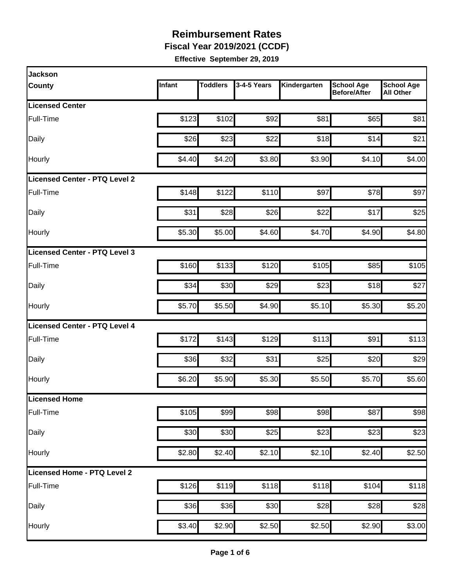**Fiscal Year 2019/2021 (CCDF)**

| <b>Jackson</b>                |        |                 |             |              |                                          |                                       |
|-------------------------------|--------|-----------------|-------------|--------------|------------------------------------------|---------------------------------------|
| <b>County</b>                 | Infant | <b>Toddlers</b> | 3-4-5 Years | Kindergarten | <b>School Age</b><br><b>Before/After</b> | <b>School Age</b><br><b>All Other</b> |
| <b>Licensed Center</b>        |        |                 |             |              |                                          |                                       |
| Full-Time                     | \$123  | \$102           | \$92        | \$81         | \$65                                     | \$81                                  |
| Daily                         | \$26   | \$23            | \$22        | \$18         | \$14                                     | \$21                                  |
| Hourly                        | \$4.40 | \$4.20          | \$3.80      | \$3.90       | \$4.10                                   | \$4.00                                |
| Licensed Center - PTQ Level 2 |        |                 |             |              |                                          |                                       |
| Full-Time                     | \$148  | \$122           | \$110       | \$97         | \$78                                     | \$97                                  |
| Daily                         | \$31   | \$28            | \$26        | \$22         | \$17                                     | \$25                                  |
| Hourly                        | \$5.30 | \$5.00          | \$4.60      | \$4.70       | \$4.90                                   | \$4.80                                |
| Licensed Center - PTQ Level 3 |        |                 |             |              |                                          |                                       |
| Full-Time                     | \$160  | \$133           | \$120       | \$105        | \$85                                     | \$105                                 |
| Daily                         | \$34   | \$30            | \$29        | \$23         | \$18                                     | \$27                                  |
| Hourly                        | \$5.70 | \$5.50          | \$4.90      | \$5.10       | \$5.30                                   | \$5.20                                |
| Licensed Center - PTQ Level 4 |        |                 |             |              |                                          |                                       |
| Full-Time                     | \$172  | \$143           | \$129       | \$113        | \$91                                     | \$113                                 |
| Daily                         | \$36   | \$32            | \$31        | \$25         | \$20                                     | \$29                                  |
| Hourly                        | \$6.20 | \$5.90          | \$5.30      | \$5.50       | \$5.70                                   | \$5.60                                |
| Licensed Home                 |        |                 |             |              |                                          |                                       |
| Full-Time                     | \$105  | \$99            | \$98        | \$98         | \$87                                     | \$98                                  |
| Daily                         | \$30   | \$30            | \$25        | \$23         | \$23                                     | \$23                                  |
| Hourly                        | \$2.80 | \$2.40          | \$2.10      | \$2.10       | \$2.40                                   | \$2.50                                |
| Licensed Home - PTQ Level 2   |        |                 |             |              |                                          |                                       |
| Full-Time                     | \$126  | \$119           | \$118       | \$118        | \$104                                    | \$118                                 |
| Daily                         | \$36   | \$36            | \$30        | \$28         | \$28                                     | \$28                                  |
| Hourly                        | \$3.40 | \$2.90          | \$2.50      | \$2.50       | \$2.90                                   | \$3.00                                |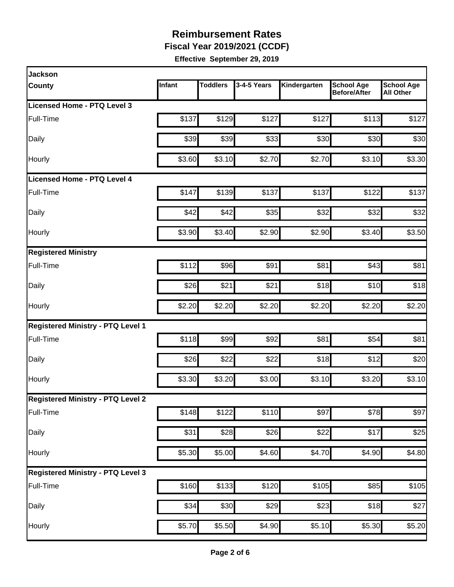**Fiscal Year 2019/2021 (CCDF)**

| <b>Jackson</b>                           |        |                 |                  |                    |                                          |                                       |
|------------------------------------------|--------|-----------------|------------------|--------------------|------------------------------------------|---------------------------------------|
| County                                   | Infant | <b>Toddlers</b> | 3-4-5 Years      | Kindergarten       | <b>School Age</b><br><b>Before/After</b> | <b>School Age</b><br><b>All Other</b> |
| <b>Licensed Home - PTQ Level 3</b>       |        |                 |                  |                    |                                          |                                       |
| Full-Time                                | \$137  | \$129           | \$127            | \$127              | \$113                                    | \$127                                 |
| Daily                                    | \$39   | \$39            | \$33             | \$30               | \$30                                     | \$30                                  |
| Hourly                                   | \$3.60 | \$3.10          | \$2.70           | \$2.70             | \$3.10                                   | \$3.30                                |
| Licensed Home - PTQ Level 4              |        |                 |                  |                    |                                          |                                       |
| Full-Time                                | \$147  | \$139           | \$137            | \$137              | \$122                                    | \$137                                 |
| Daily                                    | \$42   | \$42            | \$35             | \$32               | \$32                                     | \$32                                  |
| Hourly                                   | \$3.90 | \$3.40          | \$2.90           | \$2.90             | \$3.40                                   | \$3.50                                |
| <b>Registered Ministry</b>               |        |                 |                  |                    |                                          |                                       |
| Full-Time                                | \$112  | \$96            | \$91             | \$81               | \$43                                     | \$81                                  |
| Daily                                    | \$26   | \$21            | \$21             | \$18               | \$10                                     | \$18                                  |
| Hourly                                   | \$2.20 | \$2.20          | \$2.20           | \$2.20             | \$2.20                                   | \$2.20                                |
| <b>Registered Ministry - PTQ Level 1</b> |        |                 |                  |                    |                                          |                                       |
| Full-Time                                | \$118  | \$99            | \$92             | \$81               | \$54                                     | \$81                                  |
| Daily                                    | \$26   | \$22            | \$22             | \$18               | \$12                                     | \$20                                  |
| Hourly                                   | \$3.30 | \$3.20          | \$3.00           | \$3.10             | \$3.20                                   | \$3.10                                |
| <b>Registered Ministry - PTQ Level 2</b> |        |                 |                  |                    |                                          |                                       |
| Full-Time                                | \$148  | \$122           | \$110            | \$97               | \$78                                     | \$97                                  |
| Daily                                    | \$31   | \$28            | $\overline{$}26$ | \$22               | \$17                                     | \$25                                  |
| Hourly                                   | \$5.30 | \$5.00          | \$4.60           | \$4.70             | \$4.90                                   | \$4.80                                |
| <b>Registered Ministry - PTQ Level 3</b> |        |                 |                  |                    |                                          |                                       |
| Full-Time                                | \$160  | \$133           | \$120            | \$105              | \$85                                     | \$105                                 |
| Daily                                    | \$34   | \$30            | \$29             | \$23               | \$18                                     | \$27                                  |
| Hourly                                   | \$5.70 | \$5.50          | \$4.90           | $\overline{$5.10}$ | \$5.30                                   | \$5.20                                |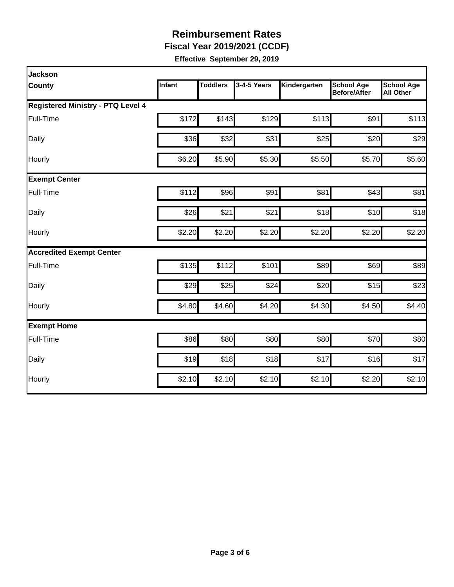**Fiscal Year 2019/2021 (CCDF)**

| <b>Jackson</b>                           |               |                 |             |              |                                          |                                       |  |  |  |
|------------------------------------------|---------------|-----------------|-------------|--------------|------------------------------------------|---------------------------------------|--|--|--|
| <b>County</b>                            | <b>Infant</b> | <b>Toddlers</b> | 3-4-5 Years | Kindergarten | <b>School Age</b><br><b>Before/After</b> | <b>School Age</b><br><b>All Other</b> |  |  |  |
| <b>Registered Ministry - PTQ Level 4</b> |               |                 |             |              |                                          |                                       |  |  |  |
| Full-Time                                | \$172         | \$143           | \$129       | \$113        | \$91                                     | \$113                                 |  |  |  |
| Daily                                    | \$36          | \$32            | \$31        | \$25         | \$20                                     | \$29                                  |  |  |  |
| Hourly                                   | \$6.20        | \$5.90          | \$5.30      | \$5.50       | \$5.70                                   | \$5.60                                |  |  |  |
| <b>Exempt Center</b>                     |               |                 |             |              |                                          |                                       |  |  |  |
| Full-Time                                | \$112         | \$96            | \$91        | \$81         | \$43                                     | \$81                                  |  |  |  |
| Daily                                    | \$26          | \$21            | \$21        | \$18         | \$10                                     | \$18                                  |  |  |  |
| Hourly                                   | \$2.20        | \$2.20          | \$2.20      | \$2.20       | \$2.20                                   | \$2.20                                |  |  |  |
| <b>Accredited Exempt Center</b>          |               |                 |             |              |                                          |                                       |  |  |  |
| Full-Time                                | \$135         | \$112           | \$101       | \$89         | \$69                                     | \$89                                  |  |  |  |
| Daily                                    | \$29          | \$25            | \$24        | \$20         | \$15                                     | \$23                                  |  |  |  |
| Hourly                                   | \$4.80        | \$4.60          | \$4.20      | \$4.30       | \$4.50                                   | \$4.40                                |  |  |  |
| <b>Exempt Home</b>                       |               |                 |             |              |                                          |                                       |  |  |  |
| Full-Time                                | \$86          | \$80            | \$80        | \$80         | \$70                                     | \$80                                  |  |  |  |
| Daily                                    | \$19          | \$18            | \$18        | \$17         | \$16                                     | \$17                                  |  |  |  |
| Hourly                                   | \$2.10        | \$2.10          | \$2.10]     | \$2.10       | \$2.20                                   | \$2.10                                |  |  |  |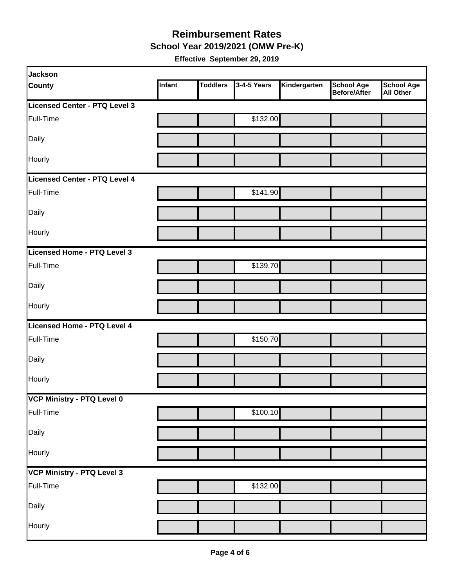**School Year 2019/2021 (OMW Pre-K)**

| Jackson                       |        |                 |             |              |                                   |                         |
|-------------------------------|--------|-----------------|-------------|--------------|-----------------------------------|-------------------------|
| <b>County</b>                 | Infant | <b>Toddlers</b> | 3-4-5 Years | Kindergarten | <b>School Age</b><br>Before/After | School Age<br>All Other |
| Licensed Center - PTQ Level 3 |        |                 |             |              |                                   |                         |
| Full-Time                     |        |                 | \$132.00    |              |                                   |                         |
| Daily                         |        |                 |             |              |                                   |                         |
| Hourly                        |        |                 |             |              |                                   |                         |
| Licensed Center - PTQ Level 4 |        |                 |             |              |                                   |                         |
| Full-Time                     |        |                 | \$141.90    |              |                                   |                         |
| Daily                         |        |                 |             |              |                                   |                         |
| Hourly                        |        |                 |             |              |                                   |                         |
| Licensed Home - PTQ Level 3   |        |                 |             |              |                                   |                         |
| Full-Time                     |        |                 | \$139.70    |              |                                   |                         |
| Daily                         |        |                 |             |              |                                   |                         |
| Hourly                        |        |                 |             |              |                                   |                         |
| Licensed Home - PTQ Level 4   |        |                 |             |              |                                   |                         |
| Full-Time                     |        |                 | \$150.70    |              |                                   |                         |
| Daily                         |        |                 |             |              |                                   |                         |
| Hourly                        |        |                 |             |              |                                   |                         |
| VCP Ministry - PTQ Level 0    |        |                 |             |              |                                   |                         |
| Full-Time                     |        |                 | \$100.10    |              |                                   |                         |
| Daily                         |        |                 |             |              |                                   |                         |
| Hourly                        |        |                 |             |              |                                   |                         |
| VCP Ministry - PTQ Level 3    |        |                 |             |              |                                   |                         |
| Full-Time                     |        |                 | \$132.00    |              |                                   |                         |
| Daily                         |        |                 |             |              |                                   |                         |
| Hourly                        |        |                 |             |              |                                   |                         |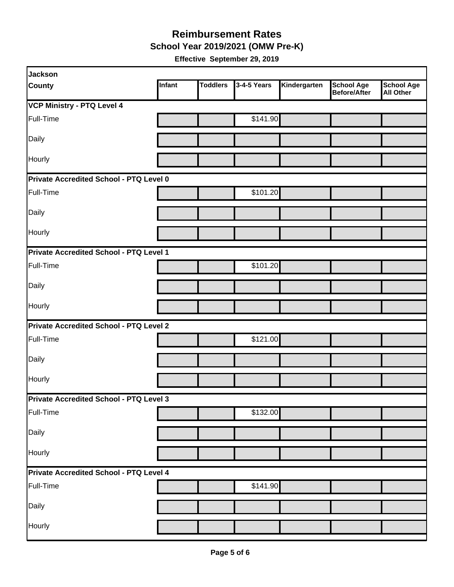**School Year 2019/2021 (OMW Pre-K)**

| <b>Jackson</b>                                 |        |                 |             |              |                                   |                                       |
|------------------------------------------------|--------|-----------------|-------------|--------------|-----------------------------------|---------------------------------------|
| <b>County</b>                                  | Infant | <b>Toddlers</b> | 3-4-5 Years | Kindergarten | <b>School Age</b><br>Before/After | <b>School Age</b><br><b>All Other</b> |
| <b>VCP Ministry - PTQ Level 4</b>              |        |                 |             |              |                                   |                                       |
| Full-Time                                      |        |                 | \$141.90    |              |                                   |                                       |
| Daily                                          |        |                 |             |              |                                   |                                       |
| Hourly                                         |        |                 |             |              |                                   |                                       |
| Private Accredited School - PTQ Level 0        |        |                 |             |              |                                   |                                       |
| Full-Time                                      |        |                 | \$101.20    |              |                                   |                                       |
| Daily                                          |        |                 |             |              |                                   |                                       |
| Hourly                                         |        |                 |             |              |                                   |                                       |
| Private Accredited School - PTQ Level 1        |        |                 |             |              |                                   |                                       |
| Full-Time                                      |        |                 | \$101.20    |              |                                   |                                       |
| Daily                                          |        |                 |             |              |                                   |                                       |
| Hourly                                         |        |                 |             |              |                                   |                                       |
| <b>Private Accredited School - PTQ Level 2</b> |        |                 |             |              |                                   |                                       |
| Full-Time                                      |        |                 | \$121.00    |              |                                   |                                       |
| Daily                                          |        |                 |             |              |                                   |                                       |
| Hourly                                         |        |                 |             |              |                                   |                                       |
| <b>Private Accredited School - PTQ Level 3</b> |        |                 |             |              |                                   |                                       |
| Full-Time                                      |        |                 | \$132.00    |              |                                   |                                       |
| Daily                                          |        |                 |             |              |                                   |                                       |
| Hourly                                         |        |                 |             |              |                                   |                                       |
| Private Accredited School - PTQ Level 4        |        |                 |             |              |                                   |                                       |
| Full-Time                                      |        |                 | \$141.90    |              |                                   |                                       |
| Daily                                          |        |                 |             |              |                                   |                                       |
| Hourly                                         |        |                 |             |              |                                   |                                       |